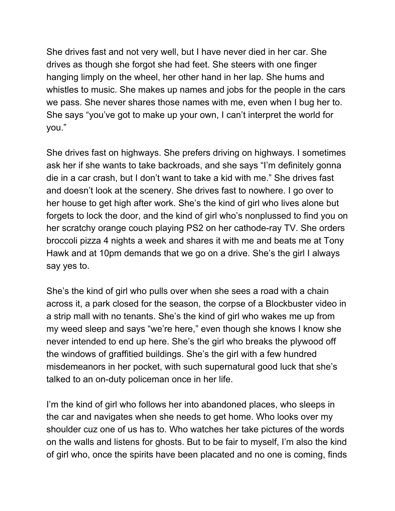She drives fast and not very well, but I have never died in her car. She drives as though she forgot she had feet. She steers with one finger hanging limply on the wheel, her other hand in her lap. She hums and whistles to music. She makes up names and jobs for the people in the cars we pass. She never shares those names with me, even when I bug her to. She says "you've got to make up your own, I can't interpret the world for you."

She drives fast on highways. She prefers driving on highways. I sometimes ask her if she wants to take backroads, and she says "I'm definitely gonna die in a car crash, but I don't want to take a kid with me." She drives fast and doesn't look at the scenery. She drives fast to nowhere. I go over to her house to get high after work. She's the kind of girl who lives alone but forgets to lock the door, and the kind of girl who's nonplussed to find you on her scratchy orange couch playing PS2 on her cathode-ray TV. She orders broccoli pizza 4 nights a week and shares it with me and beats me at Tony Hawk and at 10pm demands that we go on a drive. She's the girl I always say yes to.

She's the kind of girl who pulls over when she sees a road with a chain across it, a park closed for the season, the corpse of a Blockbuster video in a strip mall with no tenants. She's the kind of girl who wakes me up from my weed sleep and says "we're here," even though she knows I know she never intended to end up here. She's the girl who breaks the plywood off the windows of graffitied buildings. She's the girl with a few hundred misdemeanors in her pocket, with such supernatural good luck that she's talked to an on-duty policeman once in her life.

I'm the kind of girl who follows her into abandoned places, who sleeps in the car and navigates when she needs to get home. Who looks over my shoulder cuz one of us has to. Who watches her take pictures of the words on the walls and listens for ghosts. But to be fair to myself, I'm also the kind of girl who, once the spirits have been placated and no one is coming, finds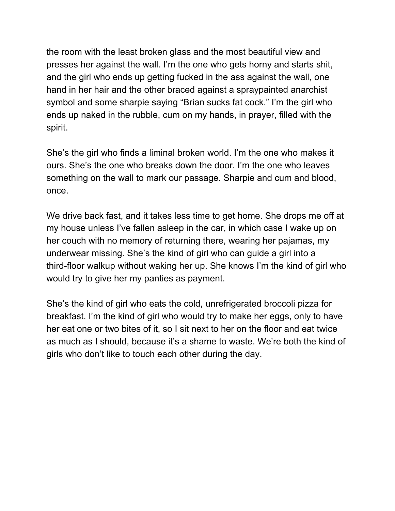the room with the least broken glass and the most beautiful view and presses her against the wall. I'm the one who gets horny and starts shit, and the girl who ends up getting fucked in the ass against the wall, one hand in her hair and the other braced against a spraypainted anarchist symbol and some sharpie saying "Brian sucks fat cock." I'm the girl who ends up naked in the rubble, cum on my hands, in prayer, filled with the spirit.

She's the girl who finds a liminal broken world. I'm the one who makes it ours. She's the one who breaks down the door. I'm the one who leaves something on the wall to mark our passage. Sharpie and cum and blood, once.

We drive back fast, and it takes less time to get home. She drops me off at my house unless I've fallen asleep in the car, in which case I wake up on her couch with no memory of returning there, wearing her pajamas, my underwear missing. She's the kind of girl who can guide a girl into a third-floor walkup without waking her up. She knows I'm the kind of girl who would try to give her my panties as payment.

She's the kind of girl who eats the cold, unrefrigerated broccoli pizza for breakfast. I'm the kind of girl who would try to make her eggs, only to have her eat one or two bites of it, so I sit next to her on the floor and eat twice as much as I should, because it's a shame to waste. We're both the kind of girls who don't like to touch each other during the day.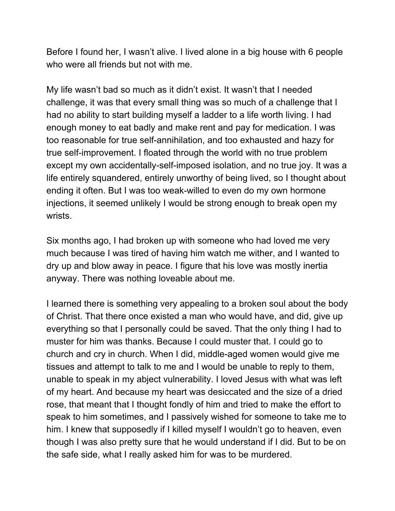Before I found her, I wasn't alive. I lived alone in a big house with 6 people who were all friends but not with me.

My life wasn't bad so much as it didn't exist. It wasn't that I needed challenge, it was that every small thing was so much of a challenge that I had no ability to start building myself a ladder to a life worth living. I had enough money to eat badly and make rent and pay for medication. I was too reasonable for true self-annihilation, and too exhausted and hazy for true self-improvement. I floated through the world with no true problem except my own accidentally-self-imposed isolation, and no true joy. It was a life entirely squandered, entirely unworthy of being lived, so I thought about ending it often. But I was too weak-willed to even do my own hormone injections, it seemed unlikely I would be strong enough to break open my wrists.

Six months ago, I had broken up with someone who had loved me very much because I was tired of having him watch me wither, and I wanted to dry up and blow away in peace. I figure that his love was mostly inertia anyway. There was nothing loveable about me.

I learned there is something very appealing to a broken soul about the body of Christ. That there once existed a man who would have, and did, give up everything so that I personally could be saved. That the only thing I had to muster for him was thanks. Because I could muster that. I could go to church and cry in church. When I did, middle-aged women would give me tissues and attempt to talk to me and I would be unable to reply to them, unable to speak in my abject vulnerability. I loved Jesus with what was left of my heart. And because my heart was desiccated and the size of a dried rose, that meant that I thought fondly of him and tried to make the effort to speak to him sometimes, and I passively wished for someone to take me to him. I knew that supposedly if I killed myself I wouldn't go to heaven, even though I was also pretty sure that he would understand if I did. But to be on the safe side, what I really asked him for was to be murdered.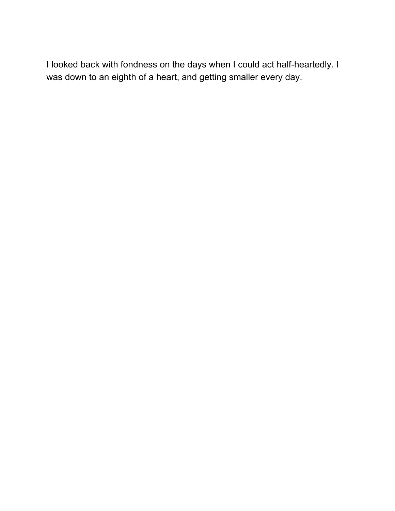I looked back with fondness on the days when I could act half-heartedly. I was down to an eighth of a heart, and getting smaller every day.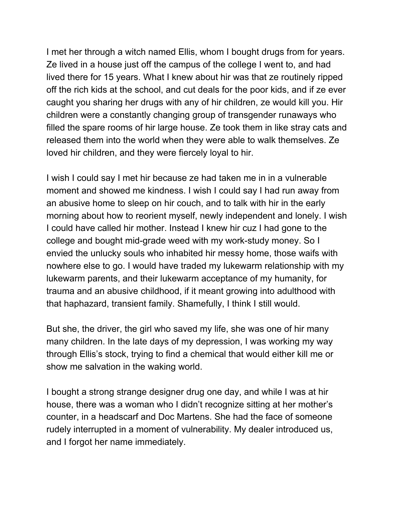I met her through a witch named Ellis, whom I bought drugs from for years. Ze lived in a house just off the campus of the college I went to, and had lived there for 15 years. What I knew about hir was that ze routinely ripped off the rich kids at the school, and cut deals for the poor kids, and if ze ever caught you sharing her drugs with any of hir children, ze would kill you. Hir children were a constantly changing group of transgender runaways who filled the spare rooms of hir large house. Ze took them in like stray cats and released them into the world when they were able to walk themselves. Ze loved hir children, and they were fiercely loyal to hir.

I wish I could say I met hir because ze had taken me in in a vulnerable moment and showed me kindness. I wish I could say I had run away from an abusive home to sleep on hir couch, and to talk with hir in the early morning about how to reorient myself, newly independent and lonely. I wish I could have called hir mother. Instead I knew hir cuz I had gone to the college and bought mid-grade weed with my work-study money. So I envied the unlucky souls who inhabited hir messy home, those waifs with nowhere else to go. I would have traded my lukewarm relationship with my lukewarm parents, and their lukewarm acceptance of my humanity, for trauma and an abusive childhood, if it meant growing into adulthood with that haphazard, transient family. Shamefully, I think I still would.

But she, the driver, the girl who saved my life, she was one of hir many many children. In the late days of my depression, I was working my way through Ellis's stock, trying to find a chemical that would either kill me or show me salvation in the waking world.

I bought a strong strange designer drug one day, and while I was at hir house, there was a woman who I didn't recognize sitting at her mother's counter, in a headscarf and Doc Martens. She had the face of someone rudely interrupted in a moment of vulnerability. My dealer introduced us, and I forgot her name immediately.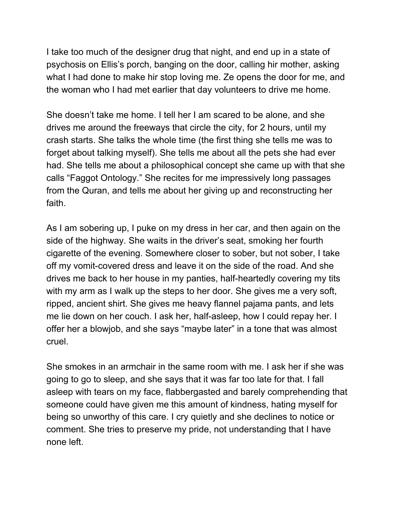I take too much of the designer drug that night, and end up in a state of psychosis on Ellis's porch, banging on the door, calling hir mother, asking what I had done to make hir stop loving me. Ze opens the door for me, and the woman who I had met earlier that day volunteers to drive me home.

She doesn't take me home. I tell her I am scared to be alone, and she drives me around the freeways that circle the city, for 2 hours, until my crash starts. She talks the whole time (the first thing she tells me was to forget about talking myself). She tells me about all the pets she had ever had. She tells me about a philosophical concept she came up with that she calls "Faggot Ontology." She recites for me impressively long passages from the Quran, and tells me about her giving up and reconstructing her faith.

As I am sobering up, I puke on my dress in her car, and then again on the side of the highway. She waits in the driver's seat, smoking her fourth cigarette of the evening. Somewhere closer to sober, but not sober, I take off my vomit-covered dress and leave it on the side of the road. And she drives me back to her house in my panties, half-heartedly covering my tits with my arm as I walk up the steps to her door. She gives me a very soft, ripped, ancient shirt. She gives me heavy flannel pajama pants, and lets me lie down on her couch. I ask her, half-asleep, how I could repay her. I offer her a blowjob, and she says "maybe later" in a tone that was almost cruel.

She smokes in an armchair in the same room with me. I ask her if she was going to go to sleep, and she says that it was far too late for that. I fall asleep with tears on my face, flabbergasted and barely comprehending that someone could have given me this amount of kindness, hating myself for being so unworthy of this care. I cry quietly and she declines to notice or comment. She tries to preserve my pride, not understanding that I have none left.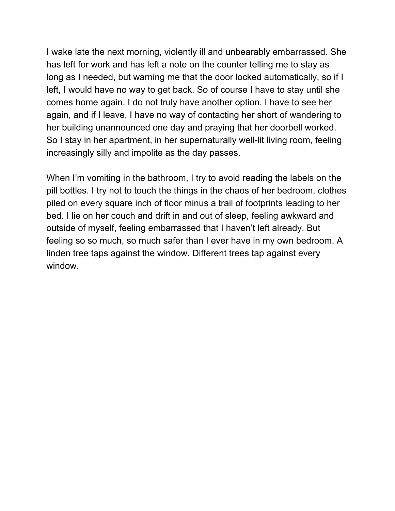I wake late the next morning, violently ill and unbearably embarrassed. She has left for work and has left a note on the counter telling me to stay as long as I needed, but warning me that the door locked automatically, so if I left, I would have no way to get back. So of course I have to stay until she comes home again. I do not truly have another option. I have to see her again, and if I leave, I have no way of contacting her short of wandering to her building unannounced one day and praying that her doorbell worked. So I stay in her apartment, in her supernaturally well-lit living room, feeling increasingly silly and impolite as the day passes.

When I'm vomiting in the bathroom, I try to avoid reading the labels on the pill bottles. I try not to touch the things in the chaos of her bedroom, clothes piled on every square inch of floor minus a trail of footprints leading to her bed. I lie on her couch and drift in and out of sleep, feeling awkward and outside of myself, feeling embarrassed that I haven't left already. But feeling so so much, so much safer than I ever have in my own bedroom. A linden tree taps against the window. Different trees tap against every window.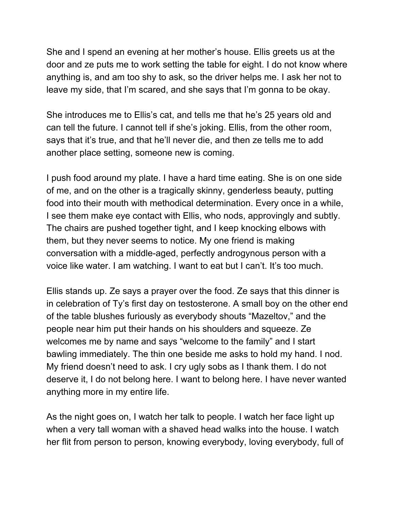She and I spend an evening at her mother's house. Ellis greets us at the door and ze puts me to work setting the table for eight. I do not know where anything is, and am too shy to ask, so the driver helps me. I ask her not to leave my side, that I'm scared, and she says that I'm gonna to be okay.

She introduces me to Ellis's cat, and tells me that he's 25 years old and can tell the future. I cannot tell if she's joking. Ellis, from the other room, says that it's true, and that he'll never die, and then ze tells me to add another place setting, someone new is coming.

I push food around my plate. I have a hard time eating. She is on one side of me, and on the other is a tragically skinny, genderless beauty, putting food into their mouth with methodical determination. Every once in a while, I see them make eye contact with Ellis, who nods, approvingly and subtly. The chairs are pushed together tight, and I keep knocking elbows with them, but they never seems to notice. My one friend is making conversation with a middle-aged, perfectly androgynous person with a voice like water. I am watching. I want to eat but I can't. It's too much.

Ellis stands up. Ze says a prayer over the food. Ze says that this dinner is in celebration of Ty's first day on testosterone. A small boy on the other end of the table blushes furiously as everybody shouts "Mazeltov," and the people near him put their hands on his shoulders and squeeze. Ze welcomes me by name and says "welcome to the family" and I start bawling immediately. The thin one beside me asks to hold my hand. I nod. My friend doesn't need to ask. I cry ugly sobs as I thank them. I do not deserve it, I do not belong here. I want to belong here. I have never wanted anything more in my entire life.

As the night goes on, I watch her talk to people. I watch her face light up when a very tall woman with a shaved head walks into the house. I watch her flit from person to person, knowing everybody, loving everybody, full of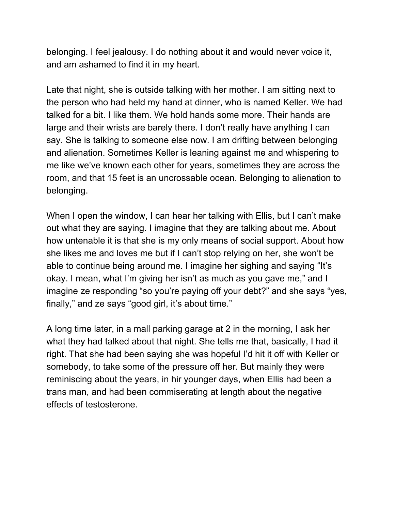belonging. I feel jealousy. I do nothing about it and would never voice it, and am ashamed to find it in my heart.

Late that night, she is outside talking with her mother. I am sitting next to the person who had held my hand at dinner, who is named Keller. We had talked for a bit. I like them. We hold hands some more. Their hands are large and their wrists are barely there. I don't really have anything I can say. She is talking to someone else now. I am drifting between belonging and alienation. Sometimes Keller is leaning against me and whispering to me like we've known each other for years, sometimes they are across the room, and that 15 feet is an uncrossable ocean. Belonging to alienation to belonging.

When I open the window, I can hear her talking with Ellis, but I can't make out what they are saying. I imagine that they are talking about me. About how untenable it is that she is my only means of social support. About how she likes me and loves me but if I can't stop relying on her, she won't be able to continue being around me. I imagine her sighing and saying "It's okay. I mean, what I'm giving her isn't as much as you gave me," and I imagine ze responding "so you're paying off your debt?" and she says "yes, finally," and ze says "good girl, it's about time."

A long time later, in a mall parking garage at 2 in the morning, I ask her what they had talked about that night. She tells me that, basically, I had it right. That she had been saying she was hopeful I'd hit it off with Keller or somebody, to take some of the pressure off her. But mainly they were reminiscing about the years, in hir younger days, when Ellis had been a trans man, and had been commiserating at length about the negative effects of testosterone.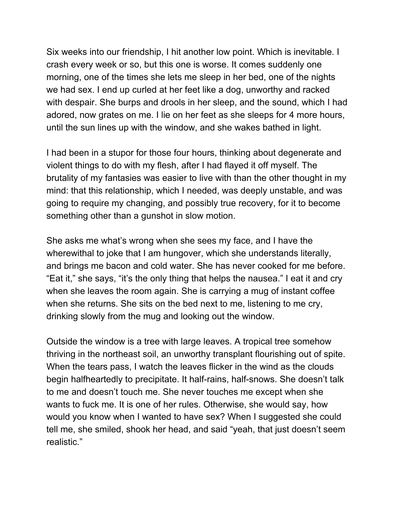Six weeks into our friendship, I hit another low point. Which is inevitable. I crash every week or so, but this one is worse. It comes suddenly one morning, one of the times she lets me sleep in her bed, one of the nights we had sex. I end up curled at her feet like a dog, unworthy and racked with despair. She burps and drools in her sleep, and the sound, which I had adored, now grates on me. I lie on her feet as she sleeps for 4 more hours, until the sun lines up with the window, and she wakes bathed in light.

I had been in a stupor for those four hours, thinking about degenerate and violent things to do with my flesh, after I had flayed it off myself. The brutality of my fantasies was easier to live with than the other thought in my mind: that this relationship, which I needed, was deeply unstable, and was going to require my changing, and possibly true recovery, for it to become something other than a gunshot in slow motion.

She asks me what's wrong when she sees my face, and I have the wherewithal to joke that I am hungover, which she understands literally, and brings me bacon and cold water. She has never cooked for me before. "Eat it," she says, "it's the only thing that helps the nausea." I eat it and cry when she leaves the room again. She is carrying a mug of instant coffee when she returns. She sits on the bed next to me, listening to me cry, drinking slowly from the mug and looking out the window.

Outside the window is a tree with large leaves. A tropical tree somehow thriving in the northeast soil, an unworthy transplant flourishing out of spite. When the tears pass, I watch the leaves flicker in the wind as the clouds begin halfheartedly to precipitate. It half-rains, half-snows. She doesn't talk to me and doesn't touch me. She never touches me except when she wants to fuck me. It is one of her rules. Otherwise, she would say, how would you know when I wanted to have sex? When I suggested she could tell me, she smiled, shook her head, and said "yeah, that just doesn't seem realistic."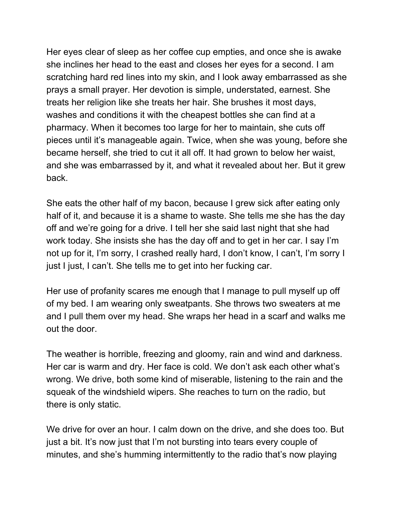Her eyes clear of sleep as her coffee cup empties, and once she is awake she inclines her head to the east and closes her eyes for a second. I am scratching hard red lines into my skin, and I look away embarrassed as she prays a small prayer. Her devotion is simple, understated, earnest. She treats her religion like she treats her hair. She brushes it most days, washes and conditions it with the cheapest bottles she can find at a pharmacy. When it becomes too large for her to maintain, she cuts off pieces until it's manageable again. Twice, when she was young, before she became herself, she tried to cut it all off. It had grown to below her waist, and she was embarrassed by it, and what it revealed about her. But it grew back.

She eats the other half of my bacon, because I grew sick after eating only half of it, and because it is a shame to waste. She tells me she has the day off and we're going for a drive. I tell her she said last night that she had work today. She insists she has the day off and to get in her car. I say I'm not up for it, I'm sorry, I crashed really hard, I don't know, I can't, I'm sorry I just I just, I can't. She tells me to get into her fucking car.

Her use of profanity scares me enough that I manage to pull myself up off of my bed. I am wearing only sweatpants. She throws two sweaters at me and I pull them over my head. She wraps her head in a scarf and walks me out the door.

The weather is horrible, freezing and gloomy, rain and wind and darkness. Her car is warm and dry. Her face is cold. We don't ask each other what's wrong. We drive, both some kind of miserable, listening to the rain and the squeak of the windshield wipers. She reaches to turn on the radio, but there is only static.

We drive for over an hour. I calm down on the drive, and she does too. But just a bit. It's now just that I'm not bursting into tears every couple of minutes, and she's humming intermittently to the radio that's now playing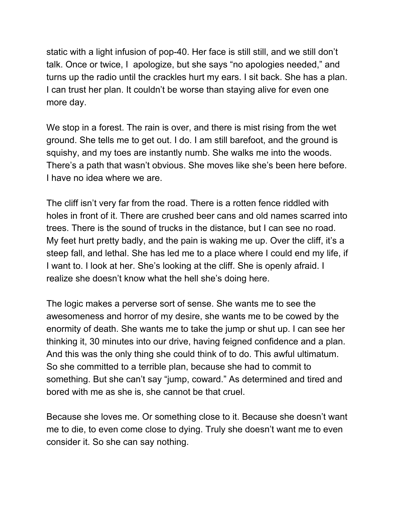static with a light infusion of pop-40. Her face is still still, and we still don't talk. Once or twice, I apologize, but she says "no apologies needed," and turns up the radio until the crackles hurt my ears. I sit back. She has a plan. I can trust her plan. It couldn't be worse than staying alive for even one more day.

We stop in a forest. The rain is over, and there is mist rising from the wet ground. She tells me to get out. I do. I am still barefoot, and the ground is squishy, and my toes are instantly numb. She walks me into the woods. There's a path that wasn't obvious. She moves like she's been here before. I have no idea where we are.

The cliff isn't very far from the road. There is a rotten fence riddled with holes in front of it. There are crushed beer cans and old names scarred into trees. There is the sound of trucks in the distance, but I can see no road. My feet hurt pretty badly, and the pain is waking me up. Over the cliff, it's a steep fall, and lethal. She has led me to a place where I could end my life, if I want to. I look at her. She's looking at the cliff. She is openly afraid. I realize she doesn't know what the hell she's doing here.

The logic makes a perverse sort of sense. She wants me to see the awesomeness and horror of my desire, she wants me to be cowed by the enormity of death. She wants me to take the jump or shut up. I can see her thinking it, 30 minutes into our drive, having feigned confidence and a plan. And this was the only thing she could think of to do. This awful ultimatum. So she committed to a terrible plan, because she had to commit to something. But she can't say "jump, coward." As determined and tired and bored with me as she is, she cannot be that cruel.

Because she loves me. Or something close to it. Because she doesn't want me to die, to even come close to dying. Truly she doesn't want me to even consider it. So she can say nothing.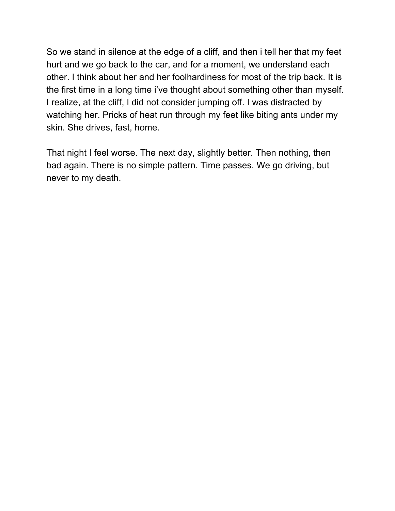So we stand in silence at the edge of a cliff, and then i tell her that my feet hurt and we go back to the car, and for a moment, we understand each other. I think about her and her foolhardiness for most of the trip back. It is the first time in a long time i've thought about something other than myself. I realize, at the cliff, I did not consider jumping off. I was distracted by watching her. Pricks of heat run through my feet like biting ants under my skin. She drives, fast, home.

That night I feel worse. The next day, slightly better. Then nothing, then bad again. There is no simple pattern. Time passes. We go driving, but never to my death.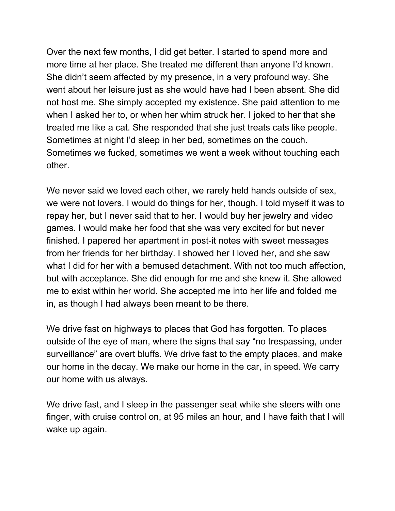Over the next few months, I did get better. I started to spend more and more time at her place. She treated me different than anyone I'd known. She didn't seem affected by my presence, in a very profound way. She went about her leisure just as she would have had I been absent. She did not host me. She simply accepted my existence. She paid attention to me when I asked her to, or when her whim struck her. I joked to her that she treated me like a cat. She responded that she just treats cats like people. Sometimes at night I'd sleep in her bed, sometimes on the couch. Sometimes we fucked, sometimes we went a week without touching each other.

We never said we loved each other, we rarely held hands outside of sex, we were not lovers. I would do things for her, though. I told myself it was to repay her, but I never said that to her. I would buy her jewelry and video games. I would make her food that she was very excited for but never finished. I papered her apartment in post-it notes with sweet messages from her friends for her birthday. I showed her I loved her, and she saw what I did for her with a bemused detachment. With not too much affection, but with acceptance. She did enough for me and she knew it. She allowed me to exist within her world. She accepted me into her life and folded me in, as though I had always been meant to be there.

We drive fast on highways to places that God has forgotten. To places outside of the eye of man, where the signs that say "no trespassing, under surveillance" are overt bluffs. We drive fast to the empty places, and make our home in the decay. We make our home in the car, in speed. We carry our home with us always.

We drive fast, and I sleep in the passenger seat while she steers with one finger, with cruise control on, at 95 miles an hour, and I have faith that I will wake up again.